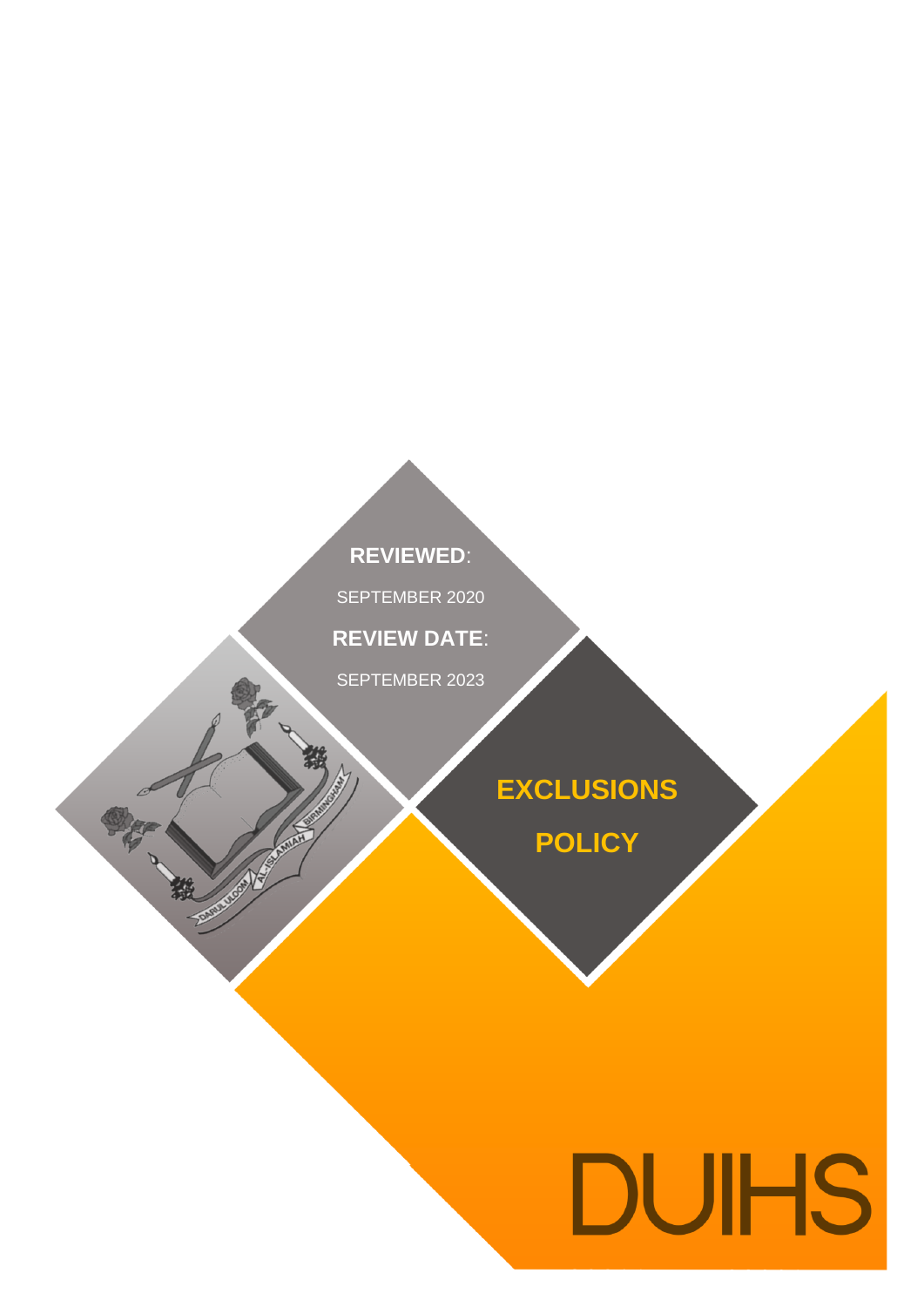### **REVIEWED**:

.<br>. . . . . . . . . . . . SEPTEMBER 2020

**REVIEW DATE**:

SEPTEMBER 2023

AUGUST 2019

鄞

一般

## **EXCLUSIONS**

**POLICY**

# **DUIHS**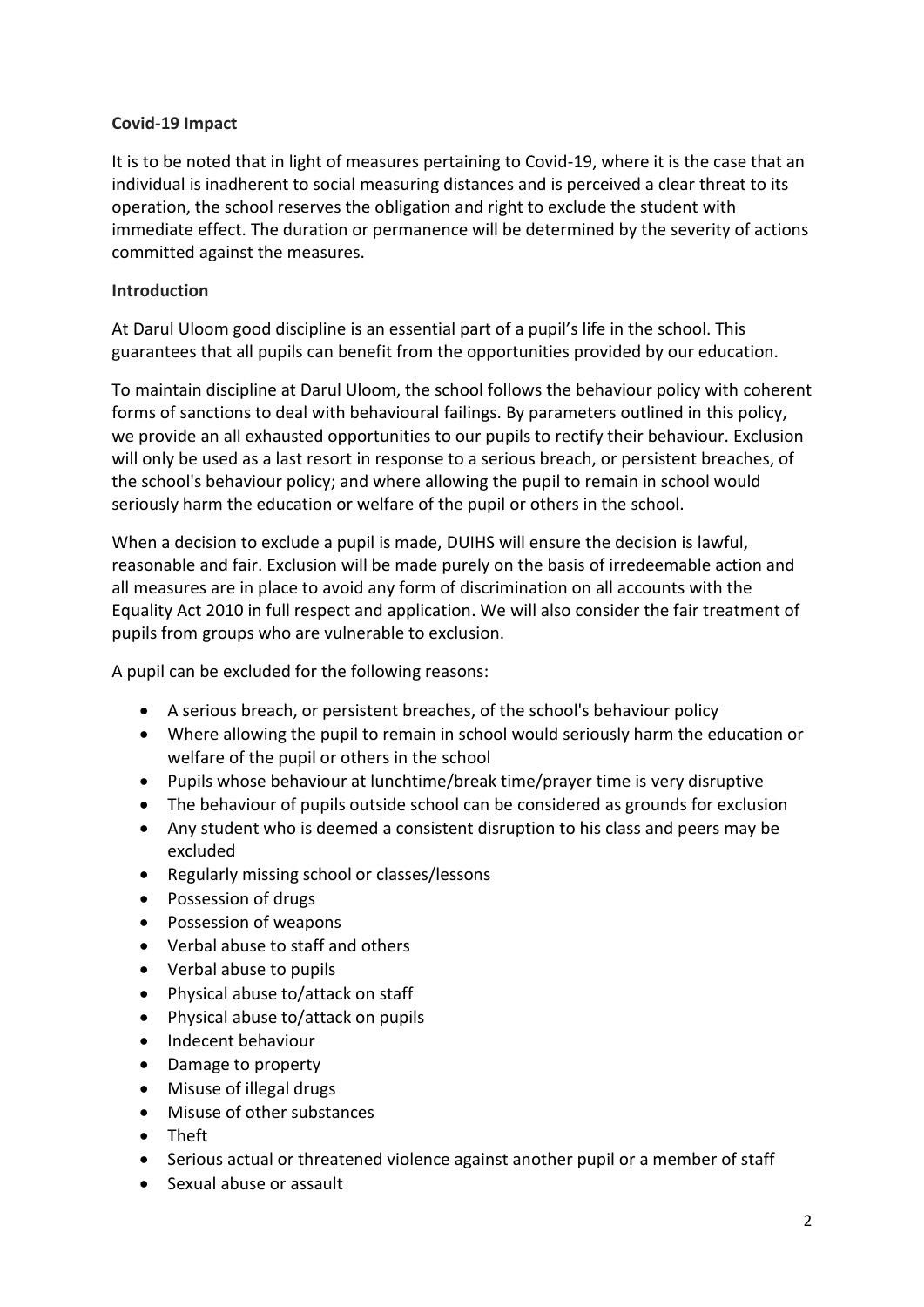#### **Covid-19 Impact**

It is to be noted that in light of measures pertaining to Covid-19, where it is the case that an individual is inadherent to social measuring distances and is perceived a clear threat to its operation, the school reserves the obligation and right to exclude the student with immediate effect. The duration or permanence will be determined by the severity of actions committed against the measures.

#### **Introduction**

At Darul Uloom good discipline is an essential part of a pupil's life in the school. This guarantees that all pupils can benefit from the opportunities provided by our education.

To maintain discipline at Darul Uloom, the school follows the behaviour policy with coherent forms of sanctions to deal with behavioural failings. By parameters outlined in this policy, we provide an all exhausted opportunities to our pupils to rectify their behaviour. Exclusion will only be used as a last resort in response to a serious breach, or persistent breaches, of the school's behaviour policy; and where allowing the pupil to remain in school would seriously harm the education or welfare of the pupil or others in the school.

When a decision to exclude a pupil is made, DUIHS will ensure the decision is lawful, reasonable and fair. Exclusion will be made purely on the basis of irredeemable action and all measures are in place to avoid any form of discrimination on all accounts with the Equality Act 2010 in full respect and application. We will also consider the fair treatment of pupils from groups who are vulnerable to exclusion.

A pupil can be excluded for the following reasons:

- A serious breach, or persistent breaches, of the school's behaviour policy
- Where allowing the pupil to remain in school would seriously harm the education or welfare of the pupil or others in the school
- Pupils whose behaviour at lunchtime/break time/prayer time is very disruptive
- The behaviour of pupils outside school can be considered as grounds for exclusion
- Any student who is deemed a consistent disruption to his class and peers may be excluded
- Regularly missing school or classes/lessons
- Possession of drugs
- Possession of weapons
- Verbal abuse to staff and others
- Verbal abuse to pupils
- Physical abuse to/attack on staff
- Physical abuse to/attack on pupils
- Indecent behaviour
- Damage to property
- Misuse of illegal drugs
- Misuse of other substances
- Theft
- Serious actual or threatened violence against another pupil or a member of staff
- Sexual abuse or assault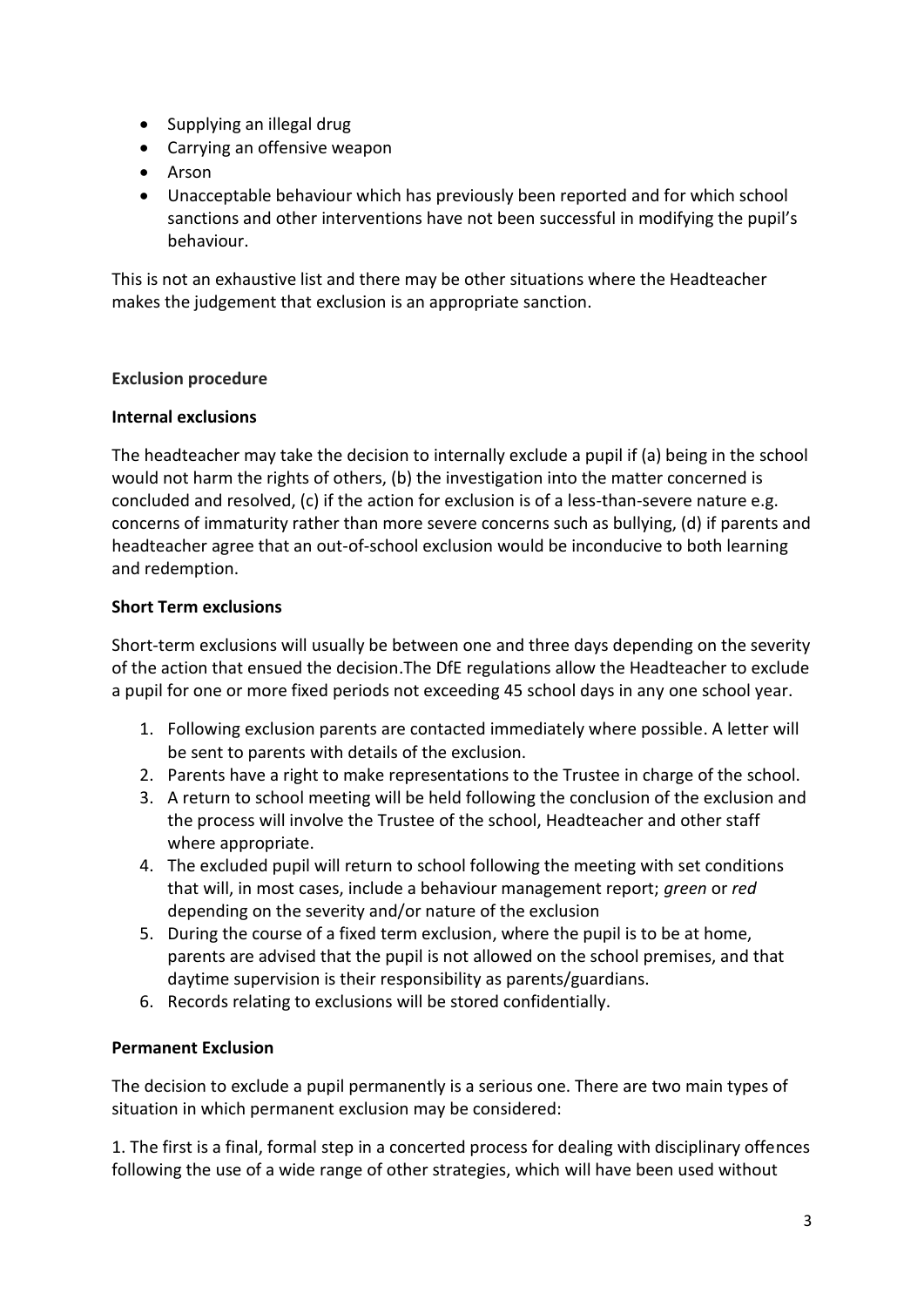- Supplying an illegal drug
- Carrying an offensive weapon
- Arson
- Unacceptable behaviour which has previously been reported and for which school sanctions and other interventions have not been successful in modifying the pupil's behaviour.

This is not an exhaustive list and there may be other situations where the Headteacher makes the judgement that exclusion is an appropriate sanction.

#### **Exclusion procedure**

#### **Internal exclusions**

The headteacher may take the decision to internally exclude a pupil if (a) being in the school would not harm the rights of others, (b) the investigation into the matter concerned is concluded and resolved, (c) if the action for exclusion is of a less-than-severe nature e.g. concerns of immaturity rather than more severe concerns such as bullying, (d) if parents and headteacher agree that an out-of-school exclusion would be inconducive to both learning and redemption.

#### **Short Term exclusions**

Short-term exclusions will usually be between one and three days depending on the severity of the action that ensued the decision.The DfE regulations allow the Headteacher to exclude a pupil for one or more fixed periods not exceeding 45 school days in any one school year.

- 1. Following exclusion parents are contacted immediately where possible. A letter will be sent to parents with details of the exclusion.
- 2. Parents have a right to make representations to the Trustee in charge of the school.
- 3. A return to school meeting will be held following the conclusion of the exclusion and the process will involve the Trustee of the school, Headteacher and other staff where appropriate.
- 4. The excluded pupil will return to school following the meeting with set conditions that will, in most cases, include a behaviour management report; *green* or *red*  depending on the severity and/or nature of the exclusion
- 5. During the course of a fixed term exclusion, where the pupil is to be at home, parents are advised that the pupil is not allowed on the school premises, and that daytime supervision is their responsibility as parents/guardians.
- 6. Records relating to exclusions will be stored confidentially.

#### **Permanent Exclusion**

The decision to exclude a pupil permanently is a serious one. There are two main types of situation in which permanent exclusion may be considered:

1. The first is a final, formal step in a concerted process for dealing with disciplinary offences following the use of a wide range of other strategies, which will have been used without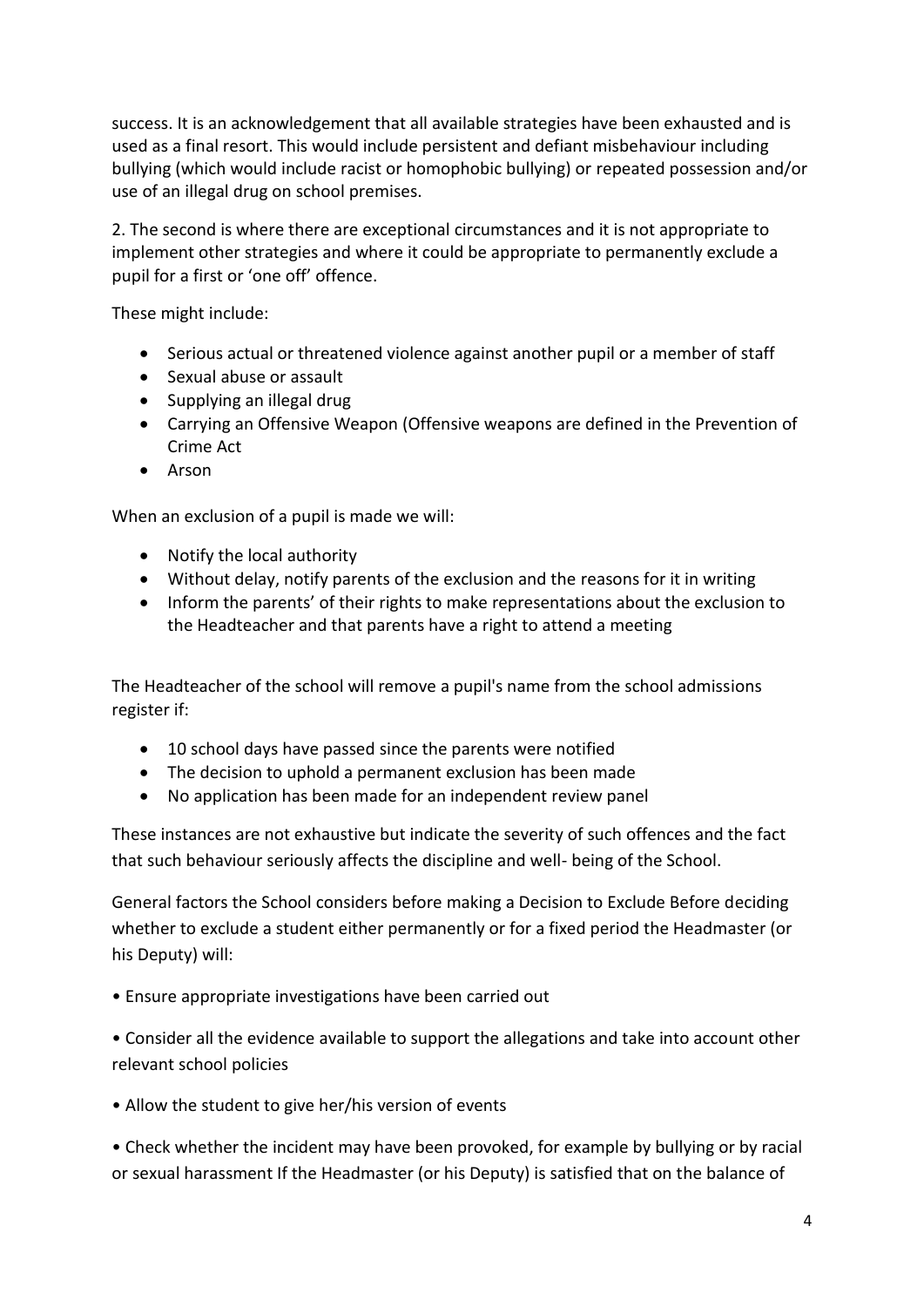success. It is an acknowledgement that all available strategies have been exhausted and is used as a final resort. This would include persistent and defiant misbehaviour including bullying (which would include racist or homophobic bullying) or repeated possession and/or use of an illegal drug on school premises.

2. The second is where there are exceptional circumstances and it is not appropriate to implement other strategies and where it could be appropriate to permanently exclude a pupil for a first or 'one off' offence.

These might include:

- Serious actual or threatened violence against another pupil or a member of staff
- Sexual abuse or assault
- Supplying an illegal drug
- Carrying an Offensive Weapon (Offensive weapons are defined in the Prevention of Crime Act
- Arson

When an exclusion of a pupil is made we will:

- Notify the local authority
- Without delay, notify parents of the exclusion and the reasons for it in writing
- Inform the parents' of their rights to make representations about the exclusion to the Headteacher and that parents have a right to attend a meeting

The Headteacher of the school will remove a pupil's name from the school admissions register if:

- 10 school days have passed since the parents were notified
- The decision to uphold a permanent exclusion has been made
- No application has been made for an independent review panel

These instances are not exhaustive but indicate the severity of such offences and the fact that such behaviour seriously affects the discipline and well- being of the School.

General factors the School considers before making a Decision to Exclude Before deciding whether to exclude a student either permanently or for a fixed period the Headmaster (or his Deputy) will:

• Ensure appropriate investigations have been carried out

• Consider all the evidence available to support the allegations and take into account other relevant school policies

• Allow the student to give her/his version of events

• Check whether the incident may have been provoked, for example by bullying or by racial or sexual harassment If the Headmaster (or his Deputy) is satisfied that on the balance of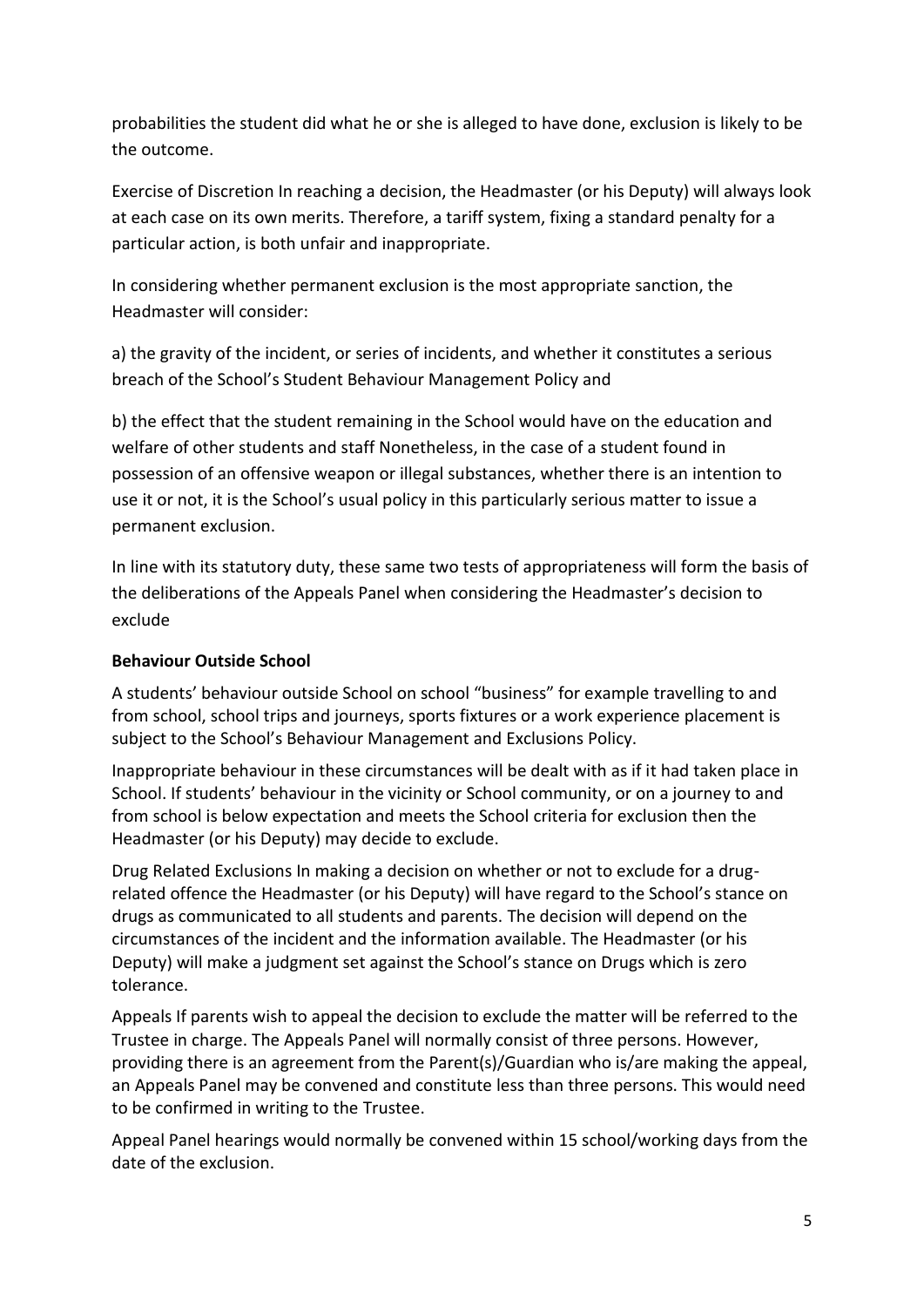probabilities the student did what he or she is alleged to have done, exclusion is likely to be the outcome.

Exercise of Discretion In reaching a decision, the Headmaster (or his Deputy) will always look at each case on its own merits. Therefore, a tariff system, fixing a standard penalty for a particular action, is both unfair and inappropriate.

In considering whether permanent exclusion is the most appropriate sanction, the Headmaster will consider:

a) the gravity of the incident, or series of incidents, and whether it constitutes a serious breach of the School's Student Behaviour Management Policy and

b) the effect that the student remaining in the School would have on the education and welfare of other students and staff Nonetheless, in the case of a student found in possession of an offensive weapon or illegal substances, whether there is an intention to use it or not, it is the School's usual policy in this particularly serious matter to issue a permanent exclusion.

In line with its statutory duty, these same two tests of appropriateness will form the basis of the deliberations of the Appeals Panel when considering the Headmaster's decision to exclude

#### **Behaviour Outside School**

A students' behaviour outside School on school "business" for example travelling to and from school, school trips and journeys, sports fixtures or a work experience placement is subject to the School's Behaviour Management and Exclusions Policy.

Inappropriate behaviour in these circumstances will be dealt with as if it had taken place in School. If students' behaviour in the vicinity or School community, or on a journey to and from school is below expectation and meets the School criteria for exclusion then the Headmaster (or his Deputy) may decide to exclude.

Drug Related Exclusions In making a decision on whether or not to exclude for a drugrelated offence the Headmaster (or his Deputy) will have regard to the School's stance on drugs as communicated to all students and parents. The decision will depend on the circumstances of the incident and the information available. The Headmaster (or his Deputy) will make a judgment set against the School's stance on Drugs which is zero tolerance.

Appeals If parents wish to appeal the decision to exclude the matter will be referred to the Trustee in charge. The Appeals Panel will normally consist of three persons. However, providing there is an agreement from the Parent(s)/Guardian who is/are making the appeal, an Appeals Panel may be convened and constitute less than three persons. This would need to be confirmed in writing to the Trustee.

Appeal Panel hearings would normally be convened within 15 school/working days from the date of the exclusion.